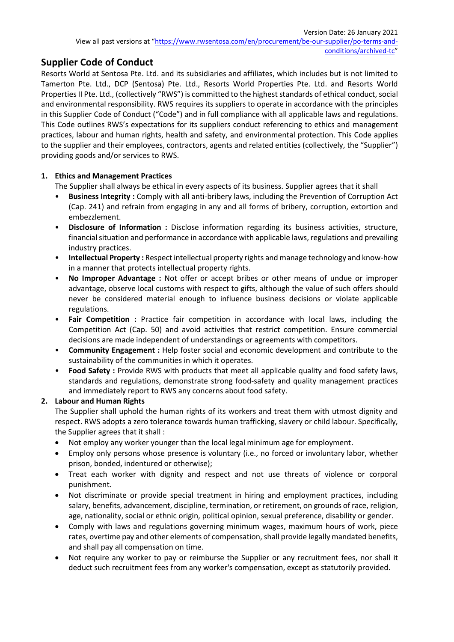# **Supplier Code of Conduct**

Resorts World at Sentosa Pte. Ltd. and its subsidiaries and affiliates, which includes but is not limited to Tamerton Pte. Ltd., DCP (Sentosa) Pte. Ltd., Resorts World Properties Pte. Ltd. and Resorts World Properties II Pte. Ltd., (collectively "RWS") is committed to the highest standards of ethical conduct, social and environmental responsibility. RWS requires its suppliers to operate in accordance with the principles in this Supplier Code of Conduct ("Code") and in full compliance with all applicable laws and regulations. This Code outlines RWS's expectations for its suppliers conduct referencing to ethics and management practices, labour and human rights, health and safety, and environmental protection. This Code applies to the supplier and their employees, contractors, agents and related entities (collectively, the "Supplier") providing goods and/or services to RWS.

# **1. Ethics and Management Practices**

The Supplier shall always be ethical in every aspects of its business. Supplier agrees that it shall

- **Business Integrity :** Comply with all anti-bribery laws, including the Prevention of Corruption Act (Cap. 241) and refrain from engaging in any and all forms of bribery, corruption, extortion and embezzlement.
- **Disclosure of Information :** Disclose information regarding its business activities, structure, financial situation and performance in accordance with applicable laws, regulations and prevailing industry practices.
- **Intellectual Property :** Respect intellectual property rights and manage technology and know-how in a manner that protects intellectual property rights.
- **No Improper Advantage :** Not offer or accept bribes or other means of undue or improper advantage, observe local customs with respect to gifts, although the value of such offers should never be considered material enough to influence business decisions or violate applicable regulations.
- **Fair Competition :** Practice fair competition in accordance with local laws, including the Competition Act (Cap. 50) and avoid activities that restrict competition. Ensure commercial decisions are made independent of understandings or agreements with competitors.
- **Community Engagement :** Help foster social and economic development and contribute to the sustainability of the communities in which it operates.
- **Food Safety :** Provide RWS with products that meet all applicable quality and food safety laws, standards and regulations, demonstrate strong food-safety and quality management practices and immediately report to RWS any concerns about food safety.

# **2. Labour and Human Rights**

The Supplier shall uphold the human rights of its workers and treat them with utmost dignity and respect. RWS adopts a zero tolerance towards human trafficking, slavery or child labour. Specifically, the Supplier agrees that it shall :

- Not employ any worker younger than the local legal minimum age for employment.
- Employ only persons whose presence is voluntary (i.e., no forced or involuntary labor, whether prison, bonded, indentured or otherwise);
- Treat each worker with dignity and respect and not use threats of violence or corporal punishment.
- Not discriminate or provide special treatment in hiring and employment practices, including salary, benefits, advancement, discipline, termination, or retirement, on grounds of race, religion, age, nationality, social or ethnic origin, political opinion, sexual preference, disability or gender.
- Comply with laws and regulations governing minimum wages, maximum hours of work, piece rates, overtime pay and other elements of compensation, shall provide legally mandated benefits, and shall pay all compensation on time.
- Not require any worker to pay or reimburse the Supplier or any recruitment fees, nor shall it deduct such recruitment fees from any worker's compensation, except as statutorily provided.